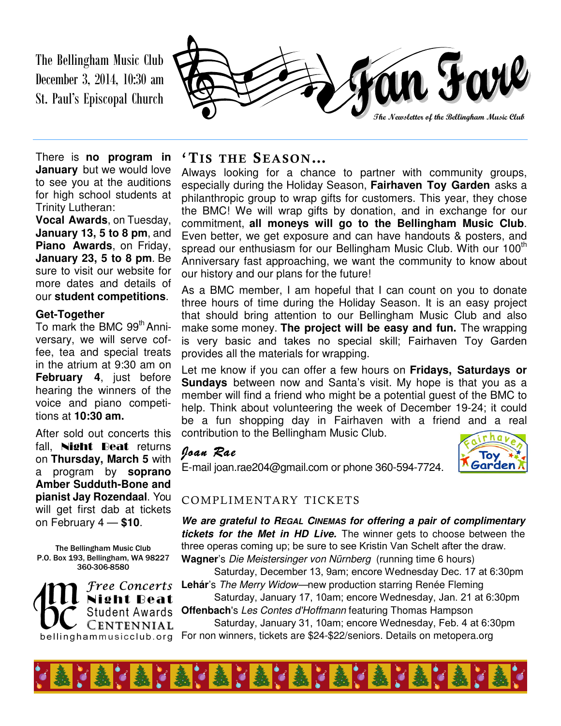The Bellingham Music Club December 3, 2014, 10:30 am St. Paul's Episcopal Church



There is **no program in January** but we would love to see you at the auditions for high school students at Trinity Lutheran:

**Vocal Awards**, on Tuesday, **January 13, 5 to 8 pm**, and **Piano Awards**, on Friday, **January 23, 5 to 8 pm**. Be sure to visit our website for more dates and details of our **student competitions**.

#### **Get-Together**

To mark the BMC 99<sup>th</sup> Anniversary, we will serve coffee, tea and special treats in the atrium at 9:30 am on **February 4**, just before hearing the winners of the voice and piano competitions at **10:30 am.** 

After sold out concerts this fall, **Night Beat** returns on **Thursday, March 5** with a program by **soprano Amber Sudduth-Bone and pianist Jay Rozendaal**. You will get first dab at tickets

The Bellingham Music Club P.O. Box 193, Bellingham, WA 98227 360-306-8580



### **'TIS THE SEASON…**

Always looking for a chance to partner with community groups, especially during the Holiday Season, **Fairhaven Toy Garden** asks a philanthropic group to wrap gifts for customers. This year, they chose the BMC! We will wrap gifts by donation, and in exchange for our commitment, **all moneys will go to the Bellingham Music Club**. Even better, we get exposure and can have handouts & posters, and spread our enthusiasm for our Bellingham Music Club. With our  $100<sup>m</sup>$ Anniversary fast approaching, we want the community to know about our history and our plans for the future!

As a BMC member, I am hopeful that I can count on you to donate three hours of time during the Holiday Season. It is an easy project that should bring attention to our Bellingham Music Club and also make some money. **The project will be easy and fun.** The wrapping is very basic and takes no special skill; Fairhaven Toy Garden provides all the materials for wrapping.

Let me know if you can offer a few hours on **Fridays, Saturdays or Sundays** between now and Santa's visit. My hope is that you as a member will find a friend who might be a potential guest of the BMC to help. Think about volunteering the week of December 19-24; it could be a fun shopping day in Fairhaven with a friend and a real contribution to the Bellingham Music Club.

### *Joan Rae Joan Rae*

E-mail joan.rae204@gmail.com or phone 360-594-7724.



#### COMPLIMENTARY TICKETS

on February 4 — **\$10**. **We are grateful to REGAL CINEMAS for offering a pair of complimentary tickets for the Met in HD Live.** The winner gets to choose between the three operas coming up; be sure to see Kristin Van Schelt after the draw. **Wagner**'s Die Meistersinger von Nürnberg (running time 6 hours)

Saturday, December 13, 9am; encore Wednesday Dec. 17 at 6:30pm **Lehár**'s The Merry Widow—new production starring Renée Fleming

Saturday, January 17, 10am; encore Wednesday, Jan. 21 at 6:30pm **Offenbach**'s Les Contes d'Hoffmann featuring Thomas Hampson

Saturday, January 31, 10am; encore Wednesday, Feb. 4 at 6:30pm For non winners, tickets are \$24-\$22/seniors. Details on metopera.org

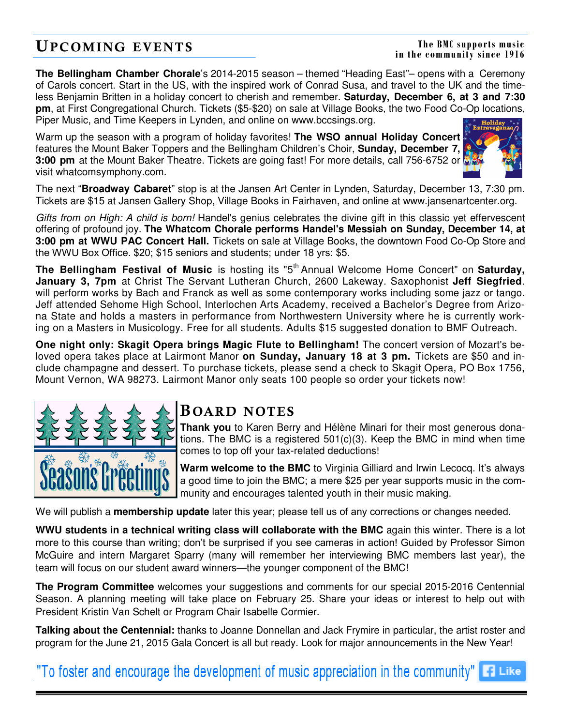## **UPCOMING EVENTS**

#### **The BMC supports music in the community since 1916**

**The Bellingham Chamber Chorale**'s 2014-2015 season – themed "Heading East"– opens with a Ceremony of Carols concert. Start in the US, with the inspired work of Conrad Susa, and travel to the UK and the timeless Benjamin Britten in a holiday concert to cherish and remember. **Saturday, December 6, at 3 and 7:30 pm**, at First Congregational Church. Tickets (\$5-\$20) on sale at Village Books, the two Food Co-Op locations, Piper Music, and Time Keepers in Lynden, and online on www.bccsings.org.

Warm up the season with a program of holiday favorites! **The WSO annual Holiday Concert**  features the Mount Baker Toppers and the Bellingham Children's Choir, **Sunday, December 7, 3:00 pm** at the Mount Baker Theatre. Tickets are going fast! For more details, call 756-6752 or visit whatcomsymphony.com.



The next "**Broadway Cabaret**" stop is at the Jansen Art Center in Lynden, Saturday, December 13, 7:30 pm. Tickets are \$15 at Jansen Gallery Shop, Village Books in Fairhaven, and online at www.jansenartcenter.org.

Gifts from on High: A child is born! Handel's genius celebrates the divine gift in this classic yet effervescent offering of profound joy. **The Whatcom Chorale performs Handel's Messiah on Sunday, December 14, at 3:00 pm at WWU PAC Concert Hall.** Tickets on sale at Village Books, the downtown Food Co-Op Store and the WWU Box Office. \$20; \$15 seniors and students; under 18 yrs: \$5.

**The Bellingham Festival of Music** is hosting its "5<sup>th</sup> Annual Welcome Home Concert" on Saturday, **January 3, 7pm** at Christ The Servant Lutheran Church, 2600 Lakeway. Saxophonist **Jeff Siegfried**. will perform works by Bach and Franck as well as some contemporary works including some jazz or tango. Jeff attended Sehome High School, Interlochen Arts Academy, received a Bachelor's Degree from Arizona State and holds a masters in performance from Northwestern University where he is currently working on a Masters in Musicology. Free for all students. Adults \$15 suggested donation to BMF Outreach.

**One night only: Skagit Opera brings Magic Flute to Bellingham!** The concert version of Mozart's beloved opera takes place at Lairmont Manor **on Sunday, January 18 at 3 pm.** Tickets are \$50 and include champagne and dessert. To purchase tickets, please send a check to Skagit Opera, PO Box 1756, Mount Vernon, WA 98273. Lairmont Manor only seats 100 people so order your tickets now!



## **B OARD NOTES**

**Thank you** to Karen Berry and Hélène Minari for their most generous donations. The BMC is a registered 501(c)(3). Keep the BMC in mind when time comes to top off your tax-related deductions!

**Warm welcome to the BMC** to Virginia Gilliard and Irwin Lecocq. It's always a good time to join the BMC; a mere \$25 per year supports music in the community and encourages talented youth in their music making.

We will publish a **membership update** later this year; please tell us of any corrections or changes needed.

**WWU students in a technical writing class will collaborate with the BMC** again this winter. There is a lot more to this course than writing; don't be surprised if you see cameras in action! Guided by Professor Simon McGuire and intern Margaret Sparry (many will remember her interviewing BMC members last year), the team will focus on our student award winners—the younger component of the BMC!

**The Program Committee** welcomes your suggestions and comments for our special 2015-2016 Centennial Season. A planning meeting will take place on February 25. Share your ideas or interest to help out with President Kristin Van Schelt or Program Chair Isabelle Cormier.

**Talking about the Centennial:** thanks to Joanne Donnellan and Jack Frymire in particular, the artist roster and program for the June 21, 2015 Gala Concert is all but ready. Look for major announcements in the New Year!

"To foster and encourage the development of music appreciation in the community"  $\blacksquare$  Like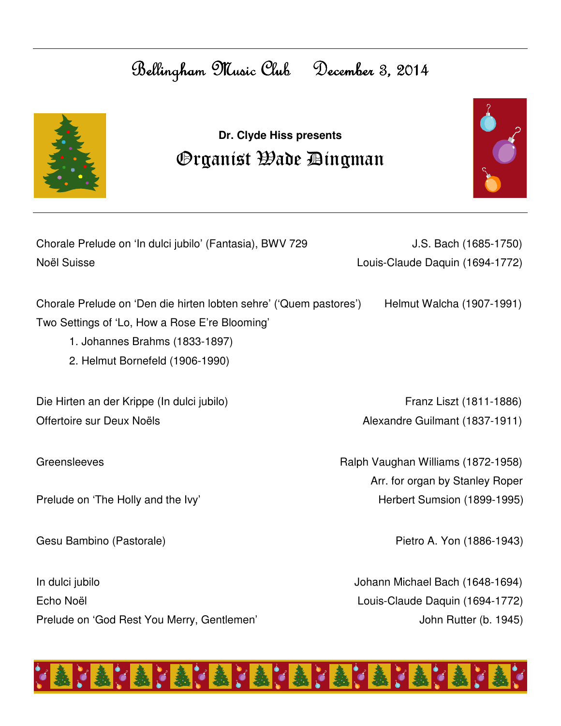## Bellingham Music Club December 3, 2014



## **Dr. Clyde Hiss presents**  Organist Wade Dingman